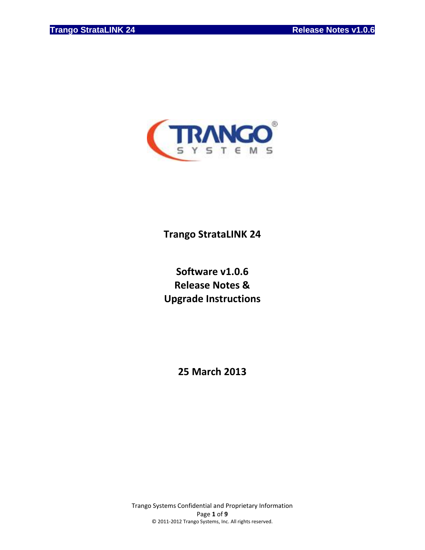

# **Trango StrataLINK 24**

# **Software v1.0.6 Release Notes & Upgrade Instructions**

**25 March 2013**

Trango Systems Confidential and Proprietary Information Page **1** of **9** © 2011-2012 Trango Systems, Inc. All rights reserved.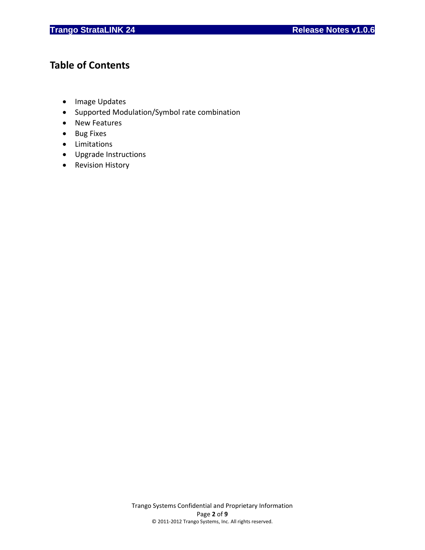# **Table of Contents**

- Image Updates
- Supported Modulation/Symbol rate combination
- New Features
- Bug Fixes
- Limitations
- Upgrade Instructions
- Revision History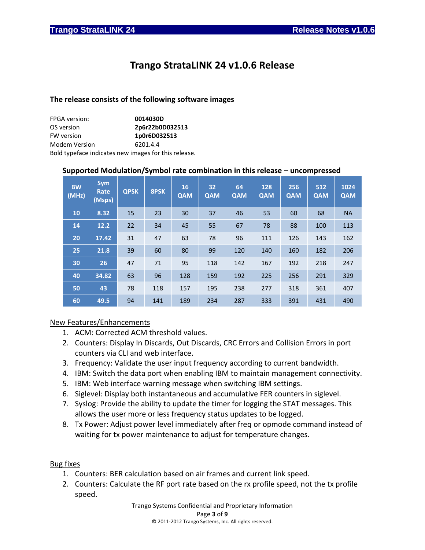# **Trango StrataLINK 24 v1.0.6 Release**

# **The release consists of the following software images**

| <b>FPGA</b> version: | 0014030D                                             |
|----------------------|------------------------------------------------------|
| OS version           | 2p6r22b0D032513                                      |
| <b>FW version</b>    | 1p0r6D032513                                         |
| <b>Modem Version</b> | 6201.4.4                                             |
|                      | Bold typeface indicates new images for this release. |

# **Supported Modulation/Symbol rate combination in this release – uncompressed**

| <b>BW</b><br>(MHz) | <b>Sym</b><br>Rate<br>(Msps) | <b>QPSK</b> | 8PSK | 16<br><b>QAM</b> | 32<br><b>QAM</b> | 64<br><b>QAM</b> | 128<br><b>QAM</b> | 256<br>QAM | 512<br><b>QAM</b> | 1024<br><b>QAM</b> |
|--------------------|------------------------------|-------------|------|------------------|------------------|------------------|-------------------|------------|-------------------|--------------------|
| 10                 | 8.32                         | 15          | 23   | 30               | 37               | 46               | 53                | 60         | 68                | <b>NA</b>          |
| 14                 | 12.2                         | 22          | 34   | 45               | 55               | 67               | 78                | 88         | 100               | 113                |
| 20                 | 17.42                        | 31          | 47   | 63               | 78               | 96               | 111               | 126        | 143               | 162                |
| 25                 | 21.8                         | 39          | 60   | 80               | 99               | 120              | 140               | 160        | 182               | 206                |
| 30                 | 26                           | 47          | 71   | 95               | 118              | 142              | 167               | 192        | 218               | 247                |
| 40                 | 34.82                        | 63          | 96   | 128              | 159              | 192              | 225               | 256        | 291               | 329                |
| 50                 | 43                           | 78          | 118  | 157              | 195              | 238              | 277               | 318        | 361               | 407                |
| 60                 | 49.5                         | 94          | 141  | 189              | 234              | 287              | 333               | 391        | 431               | 490                |

# New Features/Enhancements

- 1. ACM: Corrected ACM threshold values.
- 2. Counters: Display In Discards, Out Discards, CRC Errors and Collision Errors in port counters via CLI and web interface.
- 3. Frequency: Validate the user input frequency according to current bandwidth.
- 4. IBM: Switch the data port when enabling IBM to maintain management connectivity.
- 5. IBM: Web interface warning message when switching IBM settings.
- 6. Siglevel: Display both instantaneous and accumulative FER counters in siglevel.
- 7. Syslog: Provide the ability to update the timer for logging the STAT messages. This allows the user more or less frequency status updates to be logged.
- 8. Tx Power: Adjust power level immediately after freq or opmode command instead of waiting for tx power maintenance to adjust for temperature changes.

# Bug fixes

- 1. Counters: BER calculation based on air frames and current link speed.
- 2. Counters: Calculate the RF port rate based on the rx profile speed, not the tx profile speed.

Trango Systems Confidential and Proprietary Information Page **3** of **9** © 2011-2012 Trango Systems, Inc. All rights reserved.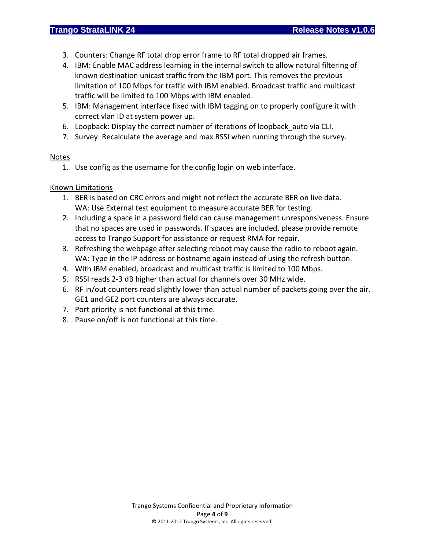- 3. Counters: Change RF total drop error frame to RF total dropped air frames.
- 4. IBM: Enable MAC address learning in the internal switch to allow natural filtering of known destination unicast traffic from the IBM port. This removes the previous limitation of 100 Mbps for traffic with IBM enabled. Broadcast traffic and multicast traffic will be limited to 100 Mbps with IBM enabled.
- 5. IBM: Management interface fixed with IBM tagging on to properly configure it with correct vlan ID at system power up.
- 6. Loopback: Display the correct number of iterations of loopback\_auto via CLI.
- 7. Survey: Recalculate the average and max RSSI when running through the survey.

# Notes

1. Use config as the username for the config login on web interface.

# Known Limitations

- 1. BER is based on CRC errors and might not reflect the accurate BER on live data. WA: Use External test equipment to measure accurate BER for testing.
- 2. Including a space in a password field can cause management unresponsiveness. Ensure that no spaces are used in passwords. If spaces are included, please provide remote access to Trango Support for assistance or request RMA for repair.
- 3. Refreshing the webpage after selecting reboot may cause the radio to reboot again. WA: Type in the IP address or hostname again instead of using the refresh button.
- 4. With IBM enabled, broadcast and multicast traffic is limited to 100 Mbps.
- 5. RSSI reads 2-3 dB higher than actual for channels over 30 MHz wide.
- 6. RF in/out counters read slightly lower than actual number of packets going over the air. GE1 and GE2 port counters are always accurate.
- 7. Port priority is not functional at this time.
- 8. Pause on/off is not functional at this time.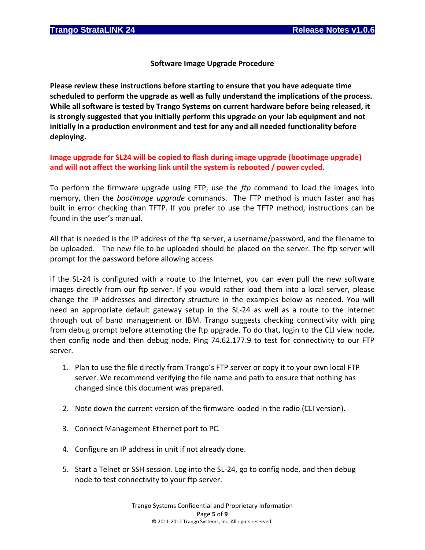**Software Image Upgrade Procedure**

**Please review these instructions before starting to ensure that you have adequate time scheduled to perform the upgrade as well as fully understand the implications of the process. While all software is tested by Trango Systems on current hardware before being released, it is strongly suggested that you initially perform this upgrade on your lab equipment and not initially in a production environment and test for any and all needed functionality before deploying.**

**Image upgrade for SL24 will be copied to flash during image upgrade (bootimage upgrade) and will not affect the working link until the system is rebooted / power cycled.**

To perform the firmware upgrade using FTP, use the *ftp* command to load the images into memory, then the *bootimage upgrade* commands. The FTP method is much faster and has built in error checking than TFTP. If you prefer to use the TFTP method, instructions can be found in the user's manual.

All that is needed is the IP address of the ftp server, a username/password, and the filename to be uploaded. The new file to be uploaded should be placed on the server. The ftp server will prompt for the password before allowing access.

If the SL-24 is configured with a route to the Internet, you can even pull the new software images directly from our ftp server. If you would rather load them into a local server, please change the IP addresses and directory structure in the examples below as needed. You will need an appropriate default gateway setup in the SL-24 as well as a route to the Internet through out of band management or IBM. Trango suggests checking connectivity with ping from debug prompt before attempting the ftp upgrade. To do that, login to the CLI view node, then config node and then debug node. Ping 74.62.177.9 to test for connectivity to our FTP server.

- 1. Plan to use the file directly from Trango's FTP server or copy it to your own local FTP server. We recommend verifying the file name and path to ensure that nothing has changed since this document was prepared.
- 2. Note down the current version of the firmware loaded in the radio (CLI version).
- 3. Connect Management Ethernet port to PC.
- 4. Configure an IP address in unit if not already done.
- 5. Start a Telnet or SSH session. Log into the SL-24, go to config node, and then debug node to test connectivity to your ftp server.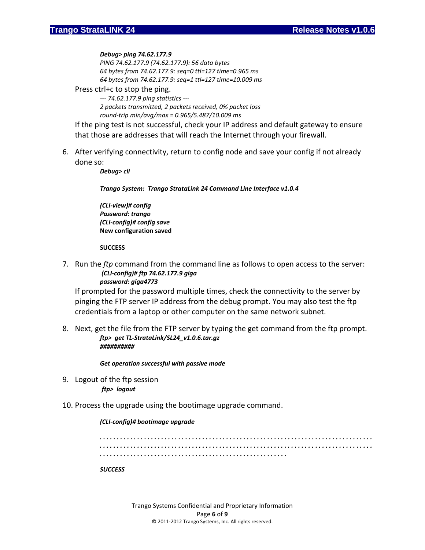#### *Debug> ping 74.62.177.9*

*PING 74.62.177.9 (74.62.177.9): 56 data bytes 64 bytes from 74.62.177.9: seq=0 ttl=127 time=0.965 ms 64 bytes from 74.62.177.9: seq=1 ttl=127 time=10.009 ms*

#### Press ctrl+c to stop the ping.

*--- 74.62.177.9 ping statistics --- 2 packets transmitted, 2 packets received, 0% packet loss round-trip min/avg/max = 0.965/5.487/10.009 ms*

If the ping test is not successful, check your IP address and default gateway to ensure that those are addresses that will reach the Internet through your firewall.

6. After verifying connectivity, return to config node and save your config if not already done so:

*Debug> cli*

*Trango System: Trango StrataLink 24 Command Line Interface v1.0.4*

*(CLI-view)# config Password: trango (CLI-config)# config save* **New configuration saved**

#### **SUCCESS**

7. Run the *ftp* command from the command line as follows to open access to the server: *(CLI-config)# ftp 74.62.177.9 giga password: giga4773*

If prompted for the password multiple times, check the connectivity to the server by pinging the FTP server IP address from the debug prompt. You may also test the ftp credentials from a laptop or other computer on the same network subnet.

8. Next, get the file from the FTP server by typing the get command from the ftp prompt. *ftp> get TL-StrataLink/SL24\_v1.0.6.tar.gz ##########*

*Get operation successful with passive mode*

9. Logout of the ftp session *ftp> logout*

# 10. Process the upgrade using the bootimage upgrade command.

# *(CLI-config)# bootimage upgrade*

*. . . . . . . . . . . . . . . . . . . . . . . . . . . . . . . . . . . . . . . . . . . . . . . . . . . . . . . . . . . . . . . . . . . . . . . . . . . . . . . . . . . . . . . . . . . . . . . . . . . . . . . . . . . . . . . . . . . . . . . . . . . . . . . . . . . . . . . . . . . . . . . . . . . . . . . . . . . . . . . . . . . . . . . . . . . . . . . . . . . . . . . . . . . . . . . . . . . . . . . . . . . . . . . . . . . . . . .* 

#### *SUCCESS*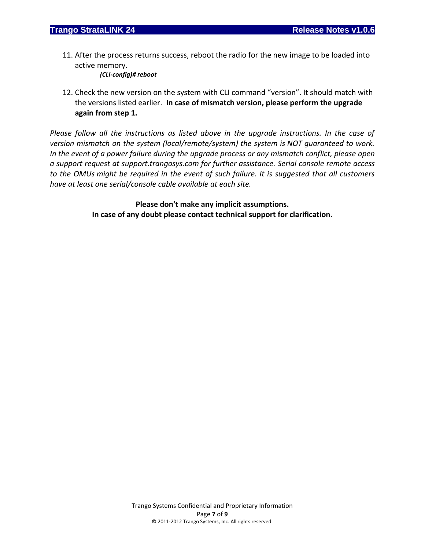11. After the process returns success, reboot the radio for the new image to be loaded into active memory.

*(CLI-config)# reboot*

12. Check the new version on the system with CLI command "version". It should match with the versions listed earlier. **In case of mismatch version, please perform the upgrade again from step 1.**

*Please follow all the instructions as listed above in the upgrade instructions. In the case of version mismatch on the system (local/remote/system) the system is NOT guaranteed to work. In the event of a power failure during the upgrade process or any mismatch conflict, please open a support request at support.trangosys.com for further assistance. Serial console remote access to the OMUs might be required in the event of such failure. It is suggested that all customers have at least one serial/console cable available at each site.*

> **Please don't make any implicit assumptions. In case of any doubt please contact technical support for clarification.**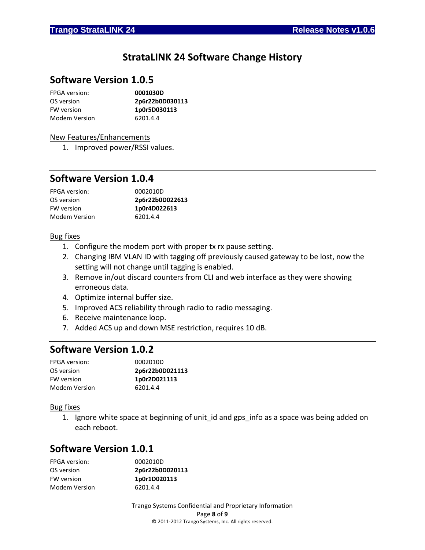# **StrataLINK 24 Software Change History**

# **Software Version 1.0.5**

| <b>FPGA</b> version: | 0001030D        |
|----------------------|-----------------|
| OS version           | 2p6r22b0D030113 |
| FW version           | 1p0r5D030113    |
| Modem Version        | 6201.4.4        |

### New Features/Enhancements

1. Improved power/RSSI values.

# **Software Version 1.0.4**

| <b>FPGA</b> version: | 0002010D        |
|----------------------|-----------------|
| OS version           | 2p6r22b0D022613 |
| <b>FW</b> version    | 1p0r4D022613    |
| Modem Version        | 6201.4.4        |

# Bug fixes

- 1. Configure the modem port with proper tx rx pause setting.
- 2. Changing IBM VLAN ID with tagging off previously caused gateway to be lost, now the setting will not change until tagging is enabled.
- 3. Remove in/out discard counters from CLI and web interface as they were showing erroneous data.
- 4. Optimize internal buffer size.
- 5. Improved ACS reliability through radio to radio messaging.
- 6. Receive maintenance loop.
- 7. Added ACS up and down MSE restriction, requires 10 dB.

# **Software Version 1.0.2**

| 0002010D        |
|-----------------|
| 2p6r22b0D021113 |
| 1p0r2D021113    |
| 6201.4.4        |
|                 |

#### Bug fixes

1. Ignore white space at beginning of unit id and gps info as a space was being added on each reboot.

# **Software Version 1.0.1**

| <b>FPGA</b> version: | 0002010D        |
|----------------------|-----------------|
| OS version           | 2p6r22b0D020113 |
| FW version           | 1p0r1D020113    |
| Modem Version        | 6201.4.4        |

Trango Systems Confidential and Proprietary Information Page **8** of **9** © 2011-2012 Trango Systems, Inc. All rights reserved.